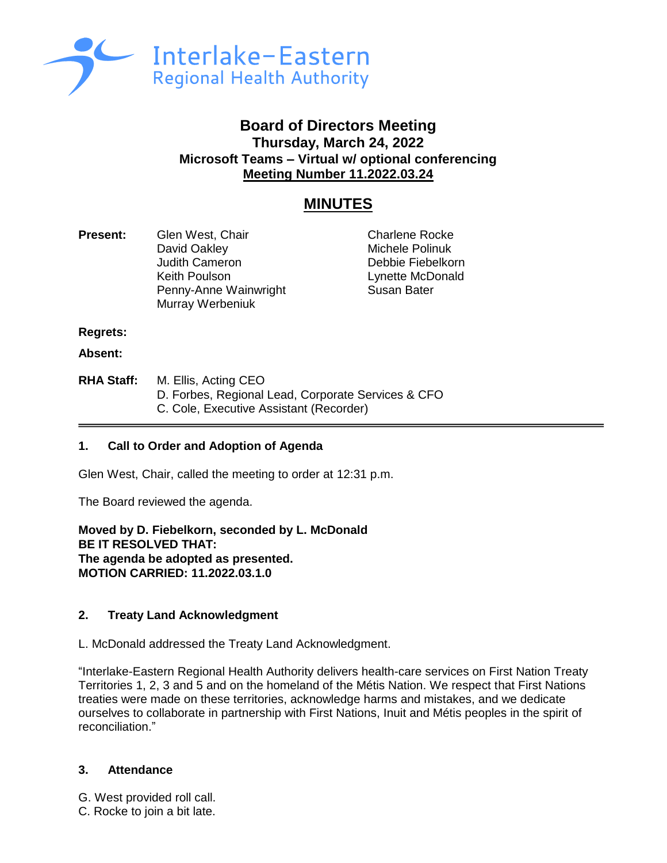

# **Board of Directors Meeting Thursday, March 24, 2022 Microsoft Teams – Virtual w/ optional conferencing Meeting Number 11.2022.03.24**

# **MINUTES**

**Present:** Glen West, Chair Charlene Rocke David Oakley **Michele Polinuk** Judith Cameron Debbie Fiebelkorn Keith Poulson **Lynette McDonald** Penny-Anne Wainwright **Susan Bater** Murray Werbeniuk

**Regrets:** 

**Absent:**

**RHA Staff:** M. Ellis, Acting CEO D. Forbes, Regional Lead, Corporate Services & CFO C. Cole, Executive Assistant (Recorder)

# **1. Call to Order and Adoption of Agenda**

Glen West, Chair, called the meeting to order at 12:31 p.m.

The Board reviewed the agenda.

**Moved by D. Fiebelkorn, seconded by L. McDonald BE IT RESOLVED THAT: The agenda be adopted as presented. MOTION CARRIED: 11.2022.03.1.0**

## **2. Treaty Land Acknowledgment**

L. McDonald addressed the Treaty Land Acknowledgment.

"Interlake-Eastern Regional Health Authority delivers health-care services on First Nation Treaty Territories 1, 2, 3 and 5 and on the homeland of the Métis Nation. We respect that First Nations treaties were made on these territories, acknowledge harms and mistakes, and we dedicate ourselves to collaborate in partnership with First Nations, Inuit and Métis peoples in the spirit of reconciliation."

## **3. Attendance**

- G. West provided roll call.
- C. Rocke to join a bit late.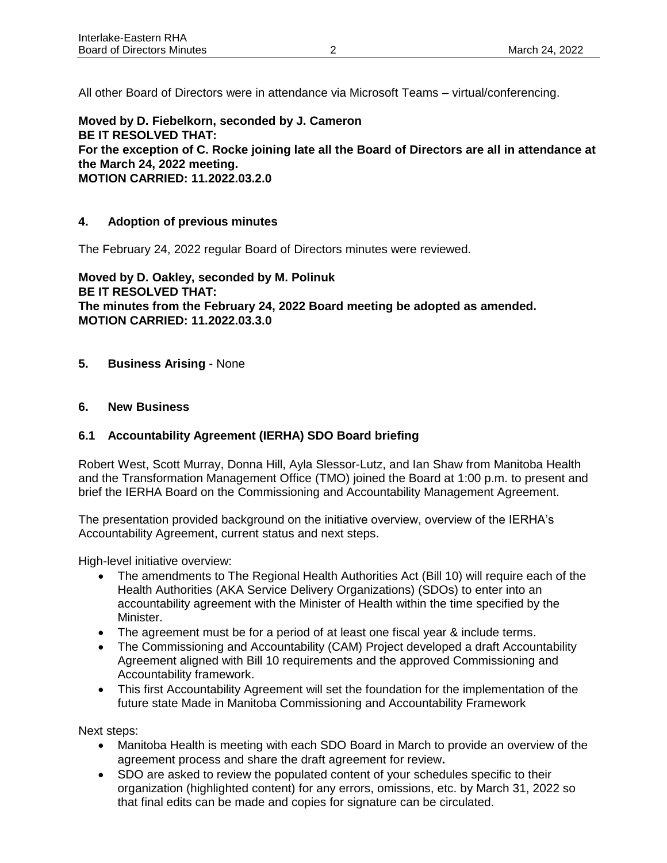All other Board of Directors were in attendance via Microsoft Teams – virtual/conferencing.

**Moved by D. Fiebelkorn, seconded by J. Cameron BE IT RESOLVED THAT: For the exception of C. Rocke joining late all the Board of Directors are all in attendance at the March 24, 2022 meeting. MOTION CARRIED: 11.2022.03.2.0**

## **4. Adoption of previous minutes**

The February 24, 2022 regular Board of Directors minutes were reviewed.

**Moved by D. Oakley, seconded by M. Polinuk BE IT RESOLVED THAT: The minutes from the February 24, 2022 Board meeting be adopted as amended. MOTION CARRIED: 11.2022.03.3.0**

**5. Business Arising** - None

## **6. New Business**

## **6.1 Accountability Agreement (IERHA) SDO Board briefing**

Robert West, Scott Murray, Donna Hill, Ayla Slessor-Lutz, and Ian Shaw from Manitoba Health and the Transformation Management Office (TMO) joined the Board at 1:00 p.m. to present and brief the IERHA Board on the Commissioning and Accountability Management Agreement.

The presentation provided background on the initiative overview, overview of the IERHA's Accountability Agreement, current status and next steps.

High-level initiative overview:

- The amendments to The Regional Health Authorities Act (Bill 10) will require each of the Health Authorities (AKA Service Delivery Organizations) (SDOs) to enter into an accountability agreement with the Minister of Health within the time specified by the Minister.
- The agreement must be for a period of at least one fiscal year & include terms.
- The Commissioning and Accountability (CAM) Project developed a draft Accountability Agreement aligned with Bill 10 requirements and the approved Commissioning and Accountability framework.
- This first Accountability Agreement will set the foundation for the implementation of the future state Made in Manitoba Commissioning and Accountability Framework

Next steps:

- Manitoba Health is meeting with each SDO Board in March to provide an overview of the agreement process and share the draft agreement for review**.**
- SDO are asked to review the populated content of your schedules specific to their organization (highlighted content) for any errors, omissions, etc. by March 31, 2022 so that final edits can be made and copies for signature can be circulated.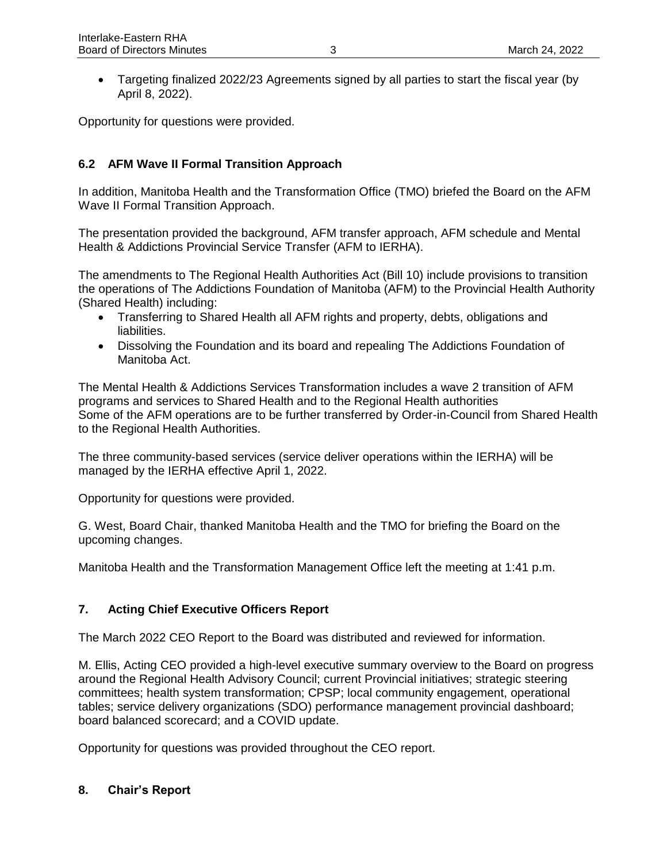• Targeting finalized 2022/23 Agreements signed by all parties to start the fiscal year (by April 8, 2022).

Opportunity for questions were provided.

# **6.2 AFM Wave II Formal Transition Approach**

In addition, Manitoba Health and the Transformation Office (TMO) briefed the Board on the AFM Wave II Formal Transition Approach.

The presentation provided the background, AFM transfer approach, AFM schedule and Mental Health & Addictions Provincial Service Transfer (AFM to IERHA).

The amendments to The Regional Health Authorities Act (Bill 10) include provisions to transition the operations of The Addictions Foundation of Manitoba (AFM) to the Provincial Health Authority (Shared Health) including:

- Transferring to Shared Health all AFM rights and property, debts, obligations and liabilities.
- Dissolving the Foundation and its board and repealing The Addictions Foundation of Manitoba Act.

The Mental Health & Addictions Services Transformation includes a wave 2 transition of AFM programs and services to Shared Health and to the Regional Health authorities Some of the AFM operations are to be further transferred by Order-in-Council from Shared Health to the Regional Health Authorities.

The three community-based services (service deliver operations within the IERHA) will be managed by the IERHA effective April 1, 2022.

Opportunity for questions were provided.

G. West, Board Chair, thanked Manitoba Health and the TMO for briefing the Board on the upcoming changes.

Manitoba Health and the Transformation Management Office left the meeting at 1:41 p.m.

## **7. Acting Chief Executive Officers Report**

The March 2022 CEO Report to the Board was distributed and reviewed for information.

M. Ellis, Acting CEO provided a high-level executive summary overview to the Board on progress around the Regional Health Advisory Council; current Provincial initiatives; strategic steering committees; health system transformation; CPSP; local community engagement, operational tables; service delivery organizations (SDO) performance management provincial dashboard; board balanced scorecard; and a COVID update.

Opportunity for questions was provided throughout the CEO report.

## **8. Chair's Report**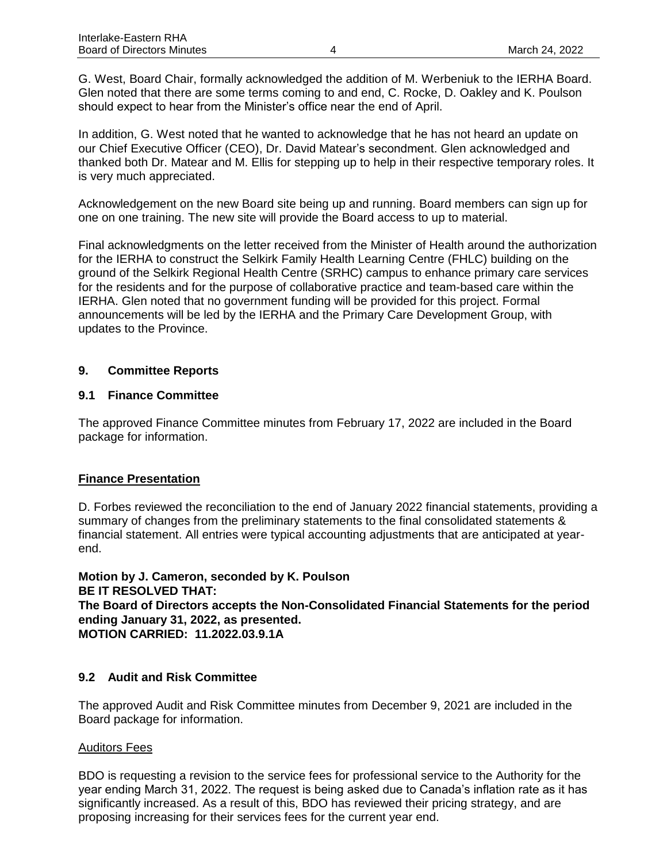G. West, Board Chair, formally acknowledged the addition of M. Werbeniuk to the IERHA Board. Glen noted that there are some terms coming to and end, C. Rocke, D. Oakley and K. Poulson should expect to hear from the Minister's office near the end of April.

In addition, G. West noted that he wanted to acknowledge that he has not heard an update on our Chief Executive Officer (CEO), Dr. David Matear's secondment. Glen acknowledged and thanked both Dr. Matear and M. Ellis for stepping up to help in their respective temporary roles. It is very much appreciated.

Acknowledgement on the new Board site being up and running. Board members can sign up for one on one training. The new site will provide the Board access to up to material.

Final acknowledgments on the letter received from the Minister of Health around the authorization for the IERHA to construct the Selkirk Family Health Learning Centre (FHLC) building on the ground of the Selkirk Regional Health Centre (SRHC) campus to enhance primary care services for the residents and for the purpose of collaborative practice and team-based care within the IERHA. Glen noted that no government funding will be provided for this project. Formal announcements will be led by the IERHA and the Primary Care Development Group, with updates to the Province.

## **9. Committee Reports**

#### **9.1 Finance Committee**

The approved Finance Committee minutes from February 17, 2022 are included in the Board package for information.

#### **Finance Presentation**

D. Forbes reviewed the reconciliation to the end of January 2022 financial statements, providing a summary of changes from the preliminary statements to the final consolidated statements & financial statement. All entries were typical accounting adjustments that are anticipated at yearend.

**Motion by J. Cameron, seconded by K. Poulson BE IT RESOLVED THAT: The Board of Directors accepts the Non-Consolidated Financial Statements for the period ending January 31, 2022, as presented. MOTION CARRIED: 11.2022.03.9.1A**

## **9.2 Audit and Risk Committee**

The approved Audit and Risk Committee minutes from December 9, 2021 are included in the Board package for information.

#### Auditors Fees

BDO is requesting a revision to the service fees for professional service to the Authority for the year ending March 31, 2022. The request is being asked due to Canada's inflation rate as it has significantly increased. As a result of this, BDO has reviewed their pricing strategy, and are proposing increasing for their services fees for the current year end.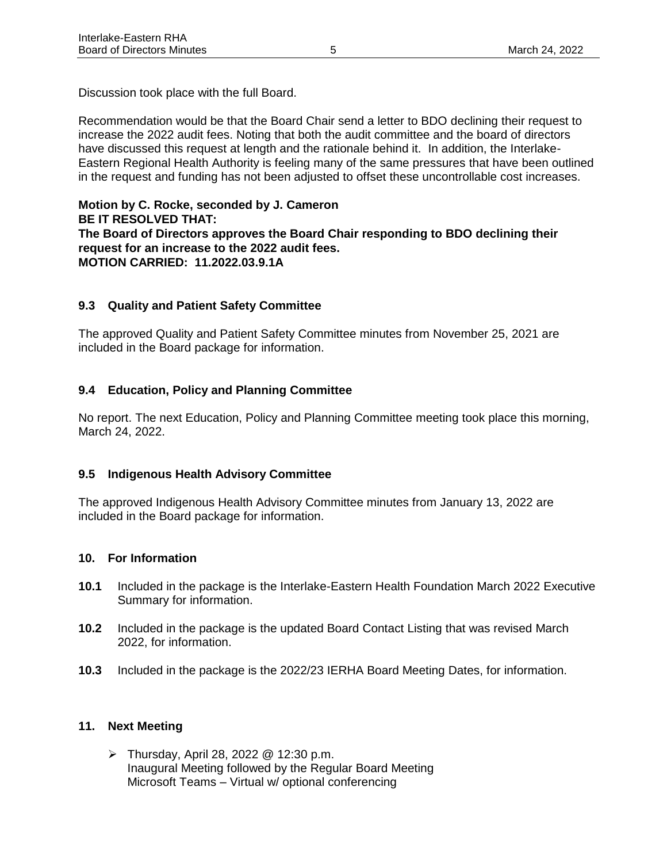Discussion took place with the full Board.

Recommendation would be that the Board Chair send a letter to BDO declining their request to increase the 2022 audit fees. Noting that both the audit committee and the board of directors have discussed this request at length and the rationale behind it. In addition, the Interlake-Eastern Regional Health Authority is feeling many of the same pressures that have been outlined in the request and funding has not been adjusted to offset these uncontrollable cost increases.

**Motion by C. Rocke, seconded by J. Cameron BE IT RESOLVED THAT: The Board of Directors approves the Board Chair responding to BDO declining their request for an increase to the 2022 audit fees. MOTION CARRIED: 11.2022.03.9.1A**

## **9.3 Quality and Patient Safety Committee**

The approved Quality and Patient Safety Committee minutes from November 25, 2021 are included in the Board package for information.

# **9.4 Education, Policy and Planning Committee**

No report. The next Education, Policy and Planning Committee meeting took place this morning, March 24, 2022.

## **9.5 Indigenous Health Advisory Committee**

The approved Indigenous Health Advisory Committee minutes from January 13, 2022 are included in the Board package for information.

## **10. For Information**

- **10.1** Included in the package is the Interlake-Eastern Health Foundation March 2022 Executive Summary for information.
- **10.2** Included in the package is the updated Board Contact Listing that was revised March 2022, for information.
- **10.3** Included in the package is the 2022/23 IERHA Board Meeting Dates, for information.

## **11. Next Meeting**

➢ Thursday, April 28, 2022 @ 12:30 p.m. Inaugural Meeting followed by the Regular Board Meeting Microsoft Teams – Virtual w/ optional conferencing